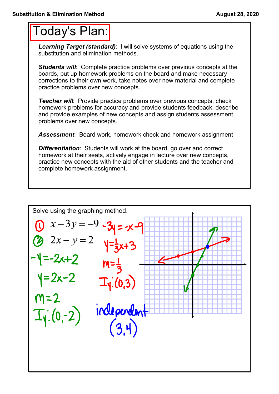## Today's Plan:

*Learning Target (standard)*: I will solve systems of equations using the substitution and elimination methods.

**Students will:** Complete practice problems over previous concepts at the boards, put up homework problems on the board and make necessary corrections to their own work, take notes over new material and complete practice problems over new concepts.

*Teacher will:* Provide practice problems over previous concepts, check homework problems for accuracy and provide students feedback, describe and provide examples of new concepts and assign students assessment problems over new concepts.

*Assessment*: Board work, homework check and homework assignment

**Differentiation:** Students will work at the board, go over and correct homework at their seats, actively engage in lecture over new concepts, practice new concepts with the aid of other students and the teacher and complete homework assignment.

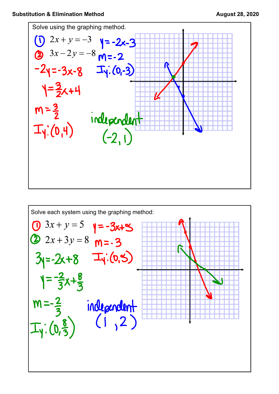

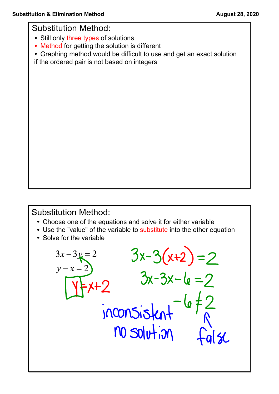Substitution Method:

- Still only three types of solutions
- Method for getting the solution is different
- Graphing method would be difficult to use and get an exact solution
- if the ordered pair is not based on integers

## Substitution Method:

- Choose one of the equations and solve it for either variable
- Use the "value" of the variable to substitute into the other equation

inconsistant

 $10$  solution

 $3x-3(x+2)=2$ <br> $3x-3x-6=2$ 

6 ‡

 $\alpha$ 

• Solve for the variable

 $3x-3y=2$ <br> $y-x=2$ 

 $x+2$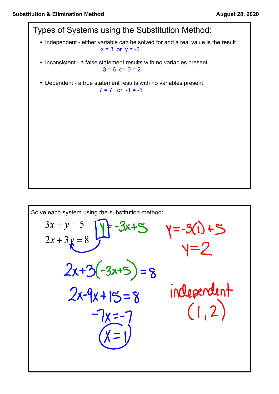

$$
f_{\rm{max}}
$$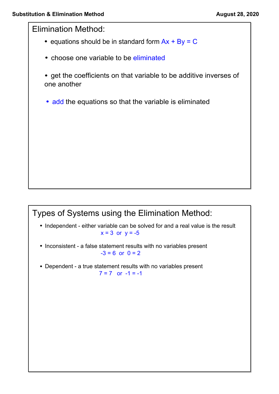Elimination Method:

- equations should be in standard form  $Ax + By = C$
- choose one variable to be eliminated
- get the coefficients on that variable to be additive inverses of one another
- add the equations so that the variable is eliminated

## Types of Systems using the Elimination Method: • Independent - either variable can be solved for and a real value is the result  $x = 3$  or  $y = -5$ • Inconsistent - a false statement results with no variables present  $-3 = 6$  or  $0 = 2$ • Dependent - a true statement results with no variables present  $7 = 7$  or  $-1 = -1$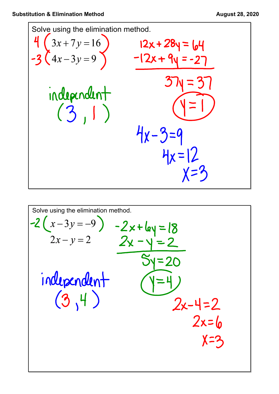

Solve using the elimination method.  
\n
$$
-2(x-3y = -9) -2x+6y = 18
$$
\n
$$
2x-y=2
$$
\n
$$
2x-y=2
$$
\n
$$
3y=20
$$
\n
$$
independent
$$
\n
$$
(3,4)
$$
\n
$$
2x-4=2
$$
\n
$$
2x=6
$$
\n
$$
x=3
$$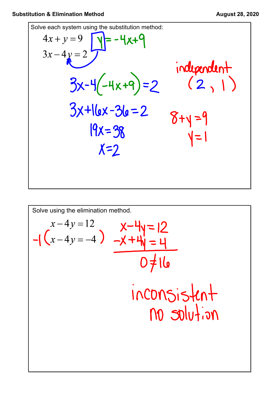Solve each system using the substitution method:  
\n
$$
4x + y = 9
$$
\n
$$
3x - 4y = 2
$$
\n
$$
3x - 4y = 2
$$
\n
$$
3x - 4y = 2
$$
\n
$$
3x - 4y = 2
$$
\n
$$
3x - 4y = 2
$$
\n
$$
3x - 4y = 2
$$
\n
$$
3x - 4y = 2
$$
\n
$$
3x - 4y = 2
$$
\n
$$
3x - 4y = 2
$$
\n
$$
3x - 4y = 2
$$
\n
$$
3x - 4y = 2
$$
\n
$$
3x - 4y = 2
$$
\n
$$
3x - 4y = 2
$$
\n
$$
3x - 4y = 2
$$
\n
$$
3x - 4y = 2
$$
\n
$$
3x - 4y = 2
$$
\n
$$
3x - 4y = 2
$$
\n
$$
3x - 4y = 2
$$
\n
$$
3x - 4y = 2
$$
\n
$$
3x - 4y = 2
$$
\n
$$
3x - 4y = 2
$$
\n
$$
3x - 4y = 2
$$
\n
$$
3x - 4y = 2
$$
\n
$$
3x - 4y = 2
$$
\n
$$
3x - 4y = 2
$$
\n
$$
3x - 4y = 2
$$
\n
$$
3x - 4y = 2
$$
\n
$$
3x - 4y = 2
$$
\n
$$
3x - 4y = 2
$$
\n
$$
3x - 4y = 2
$$
\n
$$
3x - 4y = 2
$$
\n
$$
4y = 2
$$
\n
$$
4y = 2
$$
\n
$$
4z = 2
$$
\n
$$
5z = 2
$$
\n
$$
5z = 2
$$
\n
$$
4z = 2
$$
\n
$$
5z = 2
$$
\n
$$
5z = 2
$$
\n
$$
5z = 2
$$
\n
$$
5z = 2
$$

Solve using the elimination method.  
\n
$$
x-4y=12
$$
  
\n $-\sqrt{(x-4y=-4)}$   
\n $\frac{x-4y}{-x+4y}=\frac{12}{4}$   
\n $\frac{0 \neq 16}{100005.5+10}$   
\n $\frac{100}{30} = 10$